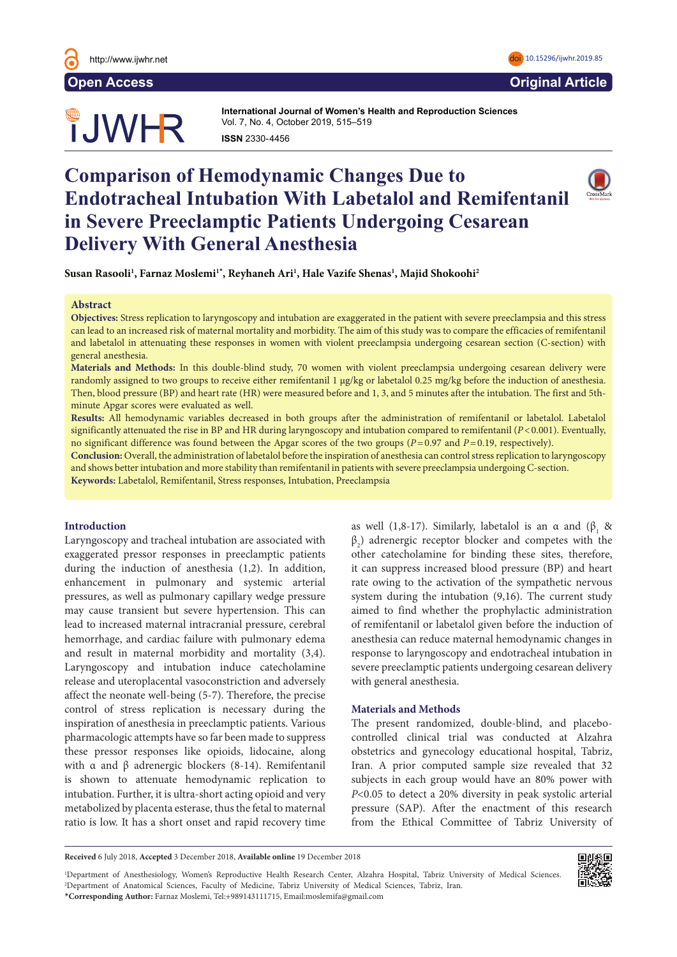

**JWHR** 

**International Journal of Women's Health and Reproduction Sciences**  Vol. 7, No. 4, October 2019, 515–519 **ISSN 2330-4456** 

# **Comparison of Hemodynamic Changes Due to Endotracheal Intubation With Labetalol and Remifentanil in Severe Preeclamptic Patients Undergoing Cesarean Delivery With General Anesthesia**



**Susan Rasooli1 , Farnaz Moslemi1\* , Reyhaneh Ari1 , Hale Vazife Shenas1 , Majid Shokoohi2**

#### **Abstract**

**Objectives:** Stress replication to laryngoscopy and intubation are exaggerated in the patient with severe preeclampsia and this stress can lead to an increased risk of maternal mortality and morbidity. The aim of this study was to compare the efficacies of remifentanil and labetalol in attenuating these responses in women with violent preeclampsia undergoing cesarean section (C-section) with general anesthesia.

**Materials and Methods:** In this double-blind study, 70 women with violent preeclampsia undergoing cesarean delivery were randomly assigned to two groups to receive either remifentanil 1 µg/kg or labetalol 0.25 mg/kg before the induction of anesthesia. Then, blood pressure (BP) and heart rate (HR) were measured before and 1, 3, and 5 minutes after the intubation. The first and 5thminute Apgar scores were evaluated as well.

**Results:** All hemodynamic variables decreased in both groups after the administration of remifentanil or labetalol. Labetalol significantly attenuated the rise in BP and HR during laryngoscopy and intubation compared to remifentanil (*P*<0.001). Eventually, no significant difference was found between the Apgar scores of the two groups (*P*=0.97 and *P*=0.19, respectively).

**Conclusion:** Overall, the administration of labetalol before the inspiration of anesthesia can control stress replication to laryngoscopy and shows better intubation and more stability than remifentanil in patients with severe preeclampsia undergoing C-section.

**Keywords:** Labetalol, Remifentanil, Stress responses, Intubation, Preeclampsia

# **Introduction**

Laryngoscopy and tracheal intubation are associated with exaggerated pressor responses in preeclamptic patients during the induction of anesthesia (1,2). In addition, enhancement in pulmonary and systemic arterial pressures, as well as pulmonary capillary wedge pressure may cause transient but severe hypertension. This can lead to increased maternal intracranial pressure, cerebral hemorrhage, and cardiac failure with pulmonary edema and result in maternal morbidity and mortality (3,4). Laryngoscopy and intubation induce catecholamine release and uteroplacental vasoconstriction and adversely affect the neonate well-being (5-7). Therefore, the precise control of stress replication is necessary during the inspiration of anesthesia in preeclamptic patients. Various pharmacologic attempts have so far been made to suppress these pressor responses like opioids, lidocaine, along with α and β adrenergic blockers (8-14). Remifentanil is shown to attenuate hemodynamic replication to intubation. Further, it is ultra-short acting opioid and very metabolized by placenta esterase, thus the fetal to maternal ratio is low. It has a short onset and rapid recovery time

as well (1,8-17). Similarly, labetalol is an  $\alpha$  and ( $\beta_1$  &  $\beta_2$ ) adrenergic receptor blocker and competes with the other catecholamine for binding these sites, therefore, it can suppress increased blood pressure (BP) and heart rate owing to the activation of the sympathetic nervous system during the intubation (9,16). The current study aimed to find whether the prophylactic administration of remifentanil or labetalol given before the induction of anesthesia can reduce maternal hemodynamic changes in response to laryngoscopy and endotracheal intubation in severe preeclamptic patients undergoing cesarean delivery with general anesthesia.

#### **Materials and Methods**

The present randomized, double-blind, and placebocontrolled clinical trial was conducted at Alzahra obstetrics and gynecology educational hospital, Tabriz, Iran. A prior computed sample size revealed that 32 subjects in each group would have an 80% power with *P*<0.05 to detect a 20% diversity in peak systolic arterial pressure (SAP). After the enactment of this research from the Ethical Committee of Tabriz University of

**Received** 6 July 2018, **Accepted** 3 December 2018, **Available online** 19 December 2018

1 Department of Anesthesiology, Women's Reproductive Health Research Center, Alzahra Hospital, Tabriz University of Medical Sciences. 2 Department of Anatomical Sciences, Faculty of Medicine, Tabriz University of Medical Sciences, Tabriz, Iran. \***Corresponding Author:** Farnaz Moslemi, Tel:+989143111715, Email:moslemifa@gmail.com

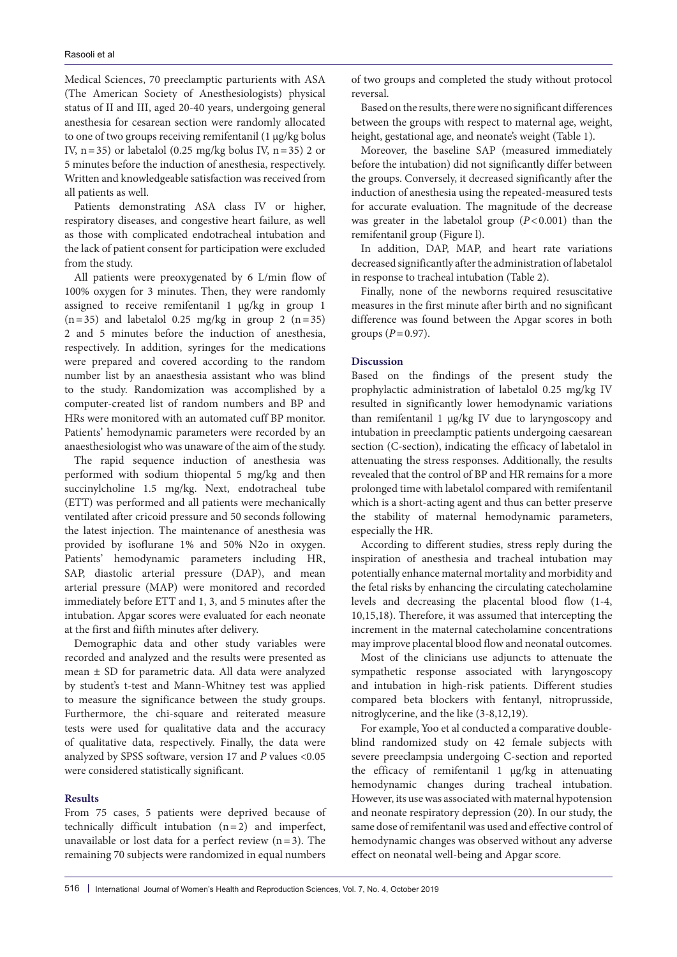Medical Sciences, 70 preeclamptic parturients with ASA (The American Society of Anesthesiologists) physical status of II and III, aged 20-40 years, undergoing general anesthesia for cesarean section were randomly allocated to one of two groups receiving remifentanil (1 µg/kg bolus IV,  $n=35$ ) or labetalol (0.25 mg/kg bolus IV,  $n=35$ ) 2 or 5 minutes before the induction of anesthesia, respectively. Written and knowledgeable satisfaction was received from all patients as well.

Patients demonstrating ASA class IV or higher, respiratory diseases, and congestive heart failure, as well as those with complicated endotracheal intubation and the lack of patient consent for participation were excluded from the study.

All patients were preoxygenated by 6 L/min flow of 100% oxygen for 3 minutes. Then, they were randomly assigned to receive remifentanil 1 µg/kg in group 1  $(n=35)$  and labetalol 0.25 mg/kg in group 2  $(n=35)$ 2 and 5 minutes before the induction of anesthesia, respectively. In addition, syringes for the medications were prepared and covered according to the random number list by an anaesthesia assistant who was blind to the study. Randomization was accomplished by a computer-created list of random numbers and BP and HRs were monitored with an automated cuff BP monitor. Patients' hemodynamic parameters were recorded by an anaesthesiologist who was unaware of the aim of the study.

The rapid sequence induction of anesthesia was performed with sodium thiopental 5 mg/kg and then succinylcholine 1.5 mg/kg. Next, endotracheal tube (ETT) was performed and all patients were mechanically ventilated after cricoid pressure and 50 seconds following the latest injection. The maintenance of anesthesia was provided by isoflurane 1% and 50% N2o in oxygen. Patients' hemodynamic parameters including HR, SAP, diastolic arterial pressure (DAP), and mean arterial pressure (MAP) were monitored and recorded immediately before ETT and 1, 3, and 5 minutes after the intubation. Apgar scores were evaluated for each neonate at the first and fiifth minutes after delivery.

Demographic data and other study variables were recorded and analyzed and the results were presented as mean ± SD for parametric data. All data were analyzed by student's t-test and Mann-Whitney test was applied to measure the significance between the study groups. Furthermore, the chi-square and reiterated measure tests were used for qualitative data and the accuracy of qualitative data, respectively. Finally, the data were analyzed by SPSS software, version 17 and *P* values <0.05 were considered statistically significant.

# **Results**

From 75 cases, 5 patients were deprived because of technically difficult intubation (n=2) and imperfect, unavailable or lost data for a perfect review  $(n=3)$ . The remaining 70 subjects were randomized in equal numbers

of two groups and completed the study without protocol reversal.

Based on the results, there were no significant differences between the groups with respect to maternal age, weight, height, gestational age, and neonate's weight (Table 1).

Moreover, the baseline SAP (measured immediately before the intubation) did not significantly differ between the groups. Conversely, it decreased significantly after the induction of anesthesia using the repeated-measured tests for accurate evaluation. The magnitude of the decrease was greater in the labetalol group  $(P<0.001)$  than the remifentanil group (Figure l).

In addition, DAP, MAP, and heart rate variations decreased significantly after the administration of labetalol in response to tracheal intubation (Table 2).

Finally, none of the newborns required resuscitative measures in the first minute after birth and no significant difference was found between the Apgar scores in both groups  $(P=0.97)$ .

### **Discussion**

Based on the findings of the present study the prophylactic administration of labetalol 0.25 mg/kg IV resulted in significantly lower hemodynamic variations than remifentanil 1 µg/kg IV due to laryngoscopy and intubation in preeclamptic patients undergoing caesarean section (C-section), indicating the efficacy of labetalol in attenuating the stress responses. Additionally, the results revealed that the control of BP and HR remains for a more prolonged time with labetalol compared with remifentanil which is a short-acting agent and thus can better preserve the stability of maternal hemodynamic parameters, especially the HR.

According to different studies, stress reply during the inspiration of anesthesia and tracheal intubation may potentially enhance maternal mortality and morbidity and the fetal risks by enhancing the circulating catecholamine levels and decreasing the placental blood flow (1-4, 10,15,18). Therefore, it was assumed that intercepting the increment in the maternal catecholamine concentrations may improve placental blood flow and neonatal outcomes.

Most of the clinicians use adjuncts to attenuate the sympathetic response associated with laryngoscopy and intubation in high-risk patients. Different studies compared beta blockers with fentanyl, nitroprusside, nitroglycerine, and the like (3-8,12,19).

For example, Yoo et al conducted a comparative doubleblind randomized study on 42 female subjects with severe preeclampsia undergoing C-section and reported the efficacy of remifentanil 1 µg/kg in attenuating hemodynamic changes during tracheal intubation. However, its use was associated with maternal hypotension and neonate respiratory depression (20). In our study, the same dose of remifentanil was used and effective control of hemodynamic changes was observed without any adverse effect on neonatal well-being and Apgar score.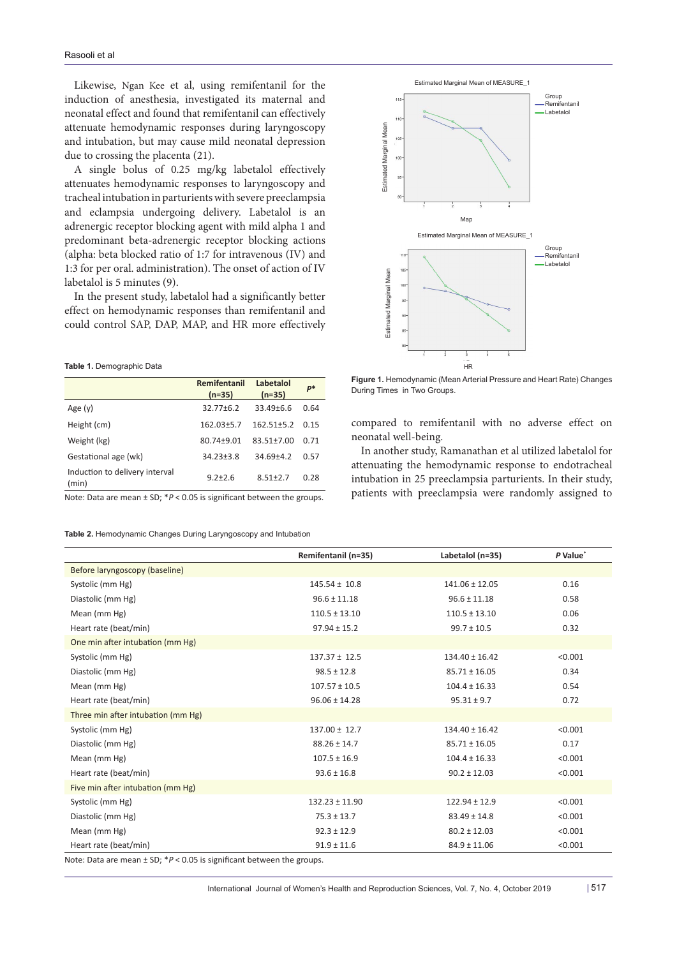Likewise, Ngan Kee et al, using remifentanil for the induction of anesthesia, investigated its maternal and neonatal effect and found that remifentanil can effectively attenuate hemodynamic responses during laryngoscopy and intubation, but may cause mild neonatal depression due to crossing the placenta (21).

A single bolus of 0.25 mg/kg labetalol effectively attenuates hemodynamic responses to laryngoscopy and tracheal intubation in parturients with severe preeclampsia and eclampsia undergoing delivery. Labetalol is an adrenergic receptor blocking agent with mild alpha 1 and predominant beta-adrenergic receptor blocking actions (alpha: beta blocked ratio of 1:7 for intravenous (IV) and 1:3 for per oral. administration). The onset of action of IV labetalol is 5 minutes (9).

In the present study, labetalol had a significantly better effect on hemodynamic responses than remifentanil and could control SAP, DAP, MAP, and HR more effectively

#### **Table 1.** Demographic Data

|                                         | Remifentanil<br>$(n=35)$ | Labetalol<br>$(n=35)$ | $P^*$ |
|-----------------------------------------|--------------------------|-----------------------|-------|
| Age $(v)$                               | $32.77 \pm 6.2$          | $33.49 \pm 6.6$       | 0.64  |
| Height (cm)                             | $162.03 \pm 5.7$         | $162.51 \pm 5.2$      | 0.15  |
| Weight (kg)                             | 80.74±9.01               | 83.51±7.00            | 0.71  |
| Gestational age (wk)                    | $34.23 \pm 3.8$          | 34.69±4.2             | 0.57  |
| Induction to delivery interval<br>(min) | $9.2 + 2.6$              | $8.51 + 2.7$          | 0.28  |
|                                         |                          |                       |       |

Note: Data are mean ± SD; \**P* < 0.05 is significant between the groups.

**Table 2.** Hemodynamic Changes During Laryngoscopy and Intubation



**Figure 1.** Hemodynamic (Mean Arterial Pressure and Heart Rate) Changes During Times in Two Groups.

compared to remifentanil with no adverse effect on neonatal well-being.

In another study, Ramanathan et al utilized labetalol for attenuating the hemodynamic response to endotracheal intubation in 25 preeclampsia parturients. In their study, patients with preeclampsia were randomly assigned to

|                                                                              | Remifentanil (n=35) | Labetalol (n=35)   | P Value* |  |
|------------------------------------------------------------------------------|---------------------|--------------------|----------|--|
| Before laryngoscopy (baseline)                                               |                     |                    |          |  |
| Systolic (mm Hg)                                                             | $145.54 \pm 10.8$   | 141.06 ± 12.05     | 0.16     |  |
| Diastolic (mm Hg)                                                            | $96.6 \pm 11.18$    | $96.6 \pm 11.18$   | 0.58     |  |
| Mean (mm Hg)                                                                 | $110.5 \pm 13.10$   | $110.5 \pm 13.10$  | 0.06     |  |
| Heart rate (beat/min)                                                        | $97.94 \pm 15.2$    | $99.7 \pm 10.5$    | 0.32     |  |
| One min after intubation (mm Hg)                                             |                     |                    |          |  |
| Systolic (mm Hg)                                                             | $137.37 \pm 12.5$   | $134.40 \pm 16.42$ | < 0.001  |  |
| Diastolic (mm Hg)                                                            | $98.5 \pm 12.8$     | $85.71 \pm 16.05$  | 0.34     |  |
| Mean (mm Hg)                                                                 | $107.57 \pm 10.5$   | $104.4 \pm 16.33$  | 0.54     |  |
| Heart rate (beat/min)                                                        | $96.06 \pm 14.28$   | $95.31 \pm 9.7$    | 0.72     |  |
| Three min after intubation (mm Hg)                                           |                     |                    |          |  |
| Systolic (mm Hg)                                                             | $137.00 \pm 12.7$   | $134.40 \pm 16.42$ | < 0.001  |  |
| Diastolic (mm Hg)                                                            | $88.26 \pm 14.7$    | $85.71 \pm 16.05$  | 0.17     |  |
| Mean (mm Hg)                                                                 | $107.5 \pm 16.9$    | $104.4 \pm 16.33$  | < 0.001  |  |
| Heart rate (beat/min)                                                        | $93.6 \pm 16.8$     | $90.2 \pm 12.03$   | < 0.001  |  |
| Five min after intubation (mm Hg)                                            |                     |                    |          |  |
| Systolic (mm Hg)                                                             | $132.23 \pm 11.90$  | $122.94 \pm 12.9$  | < 0.001  |  |
| Diastolic (mm Hg)                                                            | $75.3 \pm 13.7$     | $83.49 \pm 14.8$   | < 0.001  |  |
| Mean (mm Hg)                                                                 | $92.3 \pm 12.9$     | $80.2 \pm 12.03$   | < 0.001  |  |
| Heart rate (beat/min)                                                        | $91.9 \pm 11.6$     | $84.9 \pm 11.06$   | < 0.001  |  |
| Note: Data are mean $\pm$ SD; $*P < 0.05$ is significant between the groups. |                     |                    |          |  |

International Journal of Women's Health and Reproduction Sciences, Vol. 7, No. 4, October 2019 | 517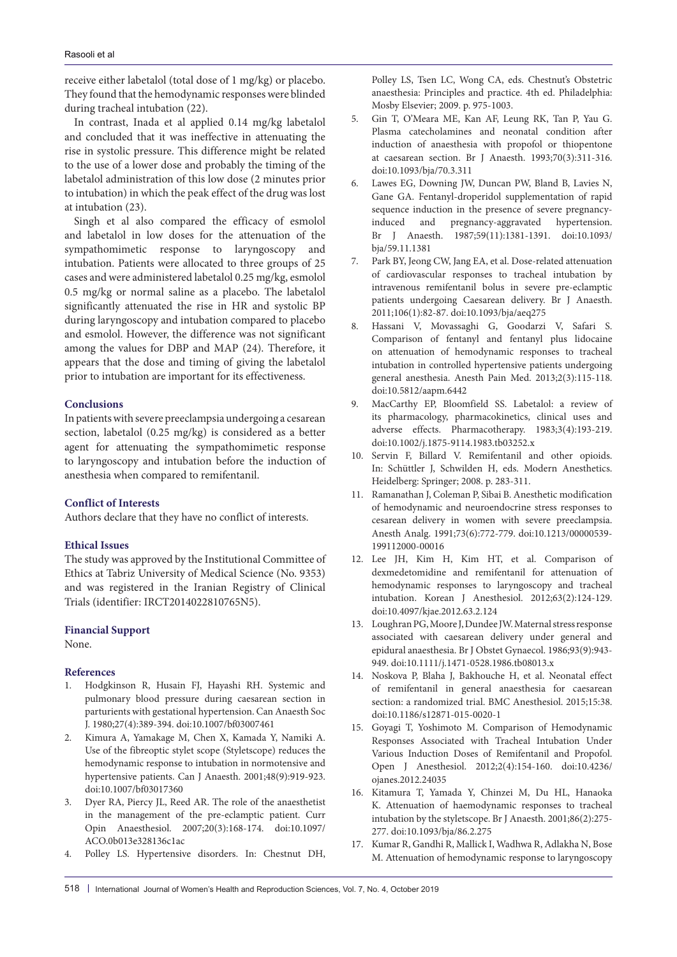receive either labetalol (total dose of 1 mg/kg) or placebo. They found that the hemodynamic responses were blinded during tracheal intubation (22).

In contrast, Inada et al applied 0.14 mg/kg labetalol and concluded that it was ineffective in attenuating the rise in systolic pressure. This difference might be related to the use of a lower dose and probably the timing of the labetalol administration of this low dose (2 minutes prior to intubation) in which the peak effect of the drug was lost at intubation (23).

Singh et al also compared the efficacy of esmolol and labetalol in low doses for the attenuation of the sympathomimetic response to laryngoscopy and intubation. Patients were allocated to three groups of 25 cases and were administered labetalol 0.25 mg/kg, esmolol 0.5 mg/kg or normal saline as a placebo. The labetalol significantly attenuated the rise in HR and systolic BP during laryngoscopy and intubation compared to placebo and esmolol. However, the difference was not significant among the values for DBP and MAP (24). Therefore, it appears that the dose and timing of giving the labetalol prior to intubation are important for its effectiveness.

# **Conclusions**

In patients with severe preeclampsia undergoing a cesarean section, labetalol (0.25 mg/kg) is considered as a better agent for attenuating the sympathomimetic response to laryngoscopy and intubation before the induction of anesthesia when compared to remifentanil.

# **Conflict of Interests**

Authors declare that they have no conflict of interests.

# **Ethical Issues**

The study was approved by the Institutional Committee of Ethics at Tabriz University of Medical Science (No. 9353) and was registered in the Iranian Registry of Clinical Trials (identifier: IRCT2014022810765N5).

## **Financial Support**

None.

#### **References**

- 1. Hodgkinson R, Husain FJ, Hayashi RH. Systemic and pulmonary blood pressure during caesarean section in parturients with gestational hypertension. Can Anaesth Soc J. 1980;27(4):389-394. doi:10.1007/bf03007461
- 2. Kimura A, Yamakage M, Chen X, Kamada Y, Namiki A. Use of the fibreoptic stylet scope (Styletscope) reduces the hemodynamic response to intubation in normotensive and hypertensive patients. Can J Anaesth. 2001;48(9):919-923. doi:10.1007/bf03017360
- 3. Dyer RA, Piercy JL, Reed AR. The role of the anaesthetist in the management of the pre-eclamptic patient. Curr Opin Anaesthesiol. 2007;20(3):168-174. doi:10.1097/ ACO.0b013e328136c1ac
- 4. Polley LS. Hypertensive disorders. In: Chestnut DH,

Polley LS, Tsen LC, Wong CA, eds. Chestnut's Obstetric anaesthesia: Principles and practice. 4th ed. Philadelphia: Mosby Elsevier; 2009. p. 975-1003.

- 5. Gin T, O'Meara ME, Kan AF, Leung RK, Tan P, Yau G. Plasma catecholamines and neonatal condition after induction of anaesthesia with propofol or thiopentone at caesarean section. Br J Anaesth. 1993;70(3):311-316. doi:10.1093/bja/70.3.311
- 6. Lawes EG, Downing JW, Duncan PW, Bland B, Lavies N, Gane GA. Fentanyl-droperidol supplementation of rapid sequence induction in the presence of severe pregnancyinduced and pregnancy-aggravated hypertension. Br J Anaesth. 1987;59(11):1381-1391. doi:10.1093/ bja/59.11.1381
- 7. Park BY, Jeong CW, Jang EA, et al. Dose-related attenuation of cardiovascular responses to tracheal intubation by intravenous remifentanil bolus in severe pre-eclamptic patients undergoing Caesarean delivery. Br J Anaesth. 2011;106(1):82-87. doi:10.1093/bja/aeq275
- 8. Hassani V, Movassaghi G, Goodarzi V, Safari S. Comparison of fentanyl and fentanyl plus lidocaine on attenuation of hemodynamic responses to tracheal intubation in controlled hypertensive patients undergoing general anesthesia. Anesth Pain Med. 2013;2(3):115-118. doi:10.5812/aapm.6442
- 9. MacCarthy EP, Bloomfield SS. Labetalol: a review of its pharmacology, pharmacokinetics, clinical uses and adverse effects. Pharmacotherapy. 1983;3(4):193-219. doi:10.1002/j.1875-9114.1983.tb03252.x
- 10. Servin F, Billard V. Remifentanil and other opioids. In: Schüttler J, Schwilden H, eds. Modern Anesthetics. Heidelberg: Springer; 2008. p. 283-311.
- 11. Ramanathan J, Coleman P, Sibai B. Anesthetic modification of hemodynamic and neuroendocrine stress responses to cesarean delivery in women with severe preeclampsia. Anesth Analg. 1991;73(6):772-779. doi:10.1213/00000539- 199112000-00016
- 12. Lee JH, Kim H, Kim HT, et al. Comparison of dexmedetomidine and remifentanil for attenuation of hemodynamic responses to laryngoscopy and tracheal intubation. Korean J Anesthesiol. 2012;63(2):124-129. doi:10.4097/kjae.2012.63.2.124
- 13. Loughran PG, Moore J, Dundee JW. Maternal stress response associated with caesarean delivery under general and epidural anaesthesia. Br J Obstet Gynaecol. 1986;93(9):943- 949. doi:10.1111/j.1471-0528.1986.tb08013.x
- 14. Noskova P, Blaha J, Bakhouche H, et al. Neonatal effect of remifentanil in general anaesthesia for caesarean section: a randomized trial. BMC Anesthesiol. 2015;15:38. doi:10.1186/s12871-015-0020-1
- 15. Goyagi T, Yoshimoto M. Comparison of Hemodynamic Responses Associated with Tracheal Intubation Under Various Induction Doses of Remifentanil and Propofol. Open J Anesthesiol. 2012;2(4):154-160. doi:10.4236/ ojanes.2012.24035
- 16. Kitamura T, Yamada Y, Chinzei M, Du HL, Hanaoka K. Attenuation of haemodynamic responses to tracheal intubation by the styletscope. Br J Anaesth. 2001;86(2):275- 277. doi:10.1093/bja/86.2.275
- 17. Kumar R, Gandhi R, Mallick I, Wadhwa R, Adlakha N, Bose M. Attenuation of hemodynamic response to laryngoscopy